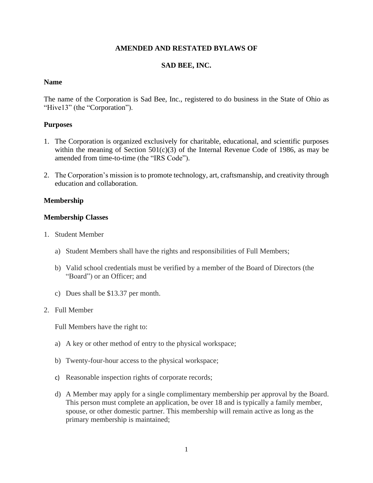### **AMENDED AND RESTATED BYLAWS OF**

# **SAD BEE, INC.**

### **Name**

The name of the Corporation is Sad Bee, Inc., registered to do business in the State of Ohio as "Hive13" (the "Corporation").

# **Purposes**

- 1. The Corporation is organized exclusively for charitable, educational, and scientific purposes within the meaning of Section  $501(c)(3)$  of the Internal Revenue Code of 1986, as may be amended from time-to-time (the "IRS Code").
- 2. The Corporation's mission is to promote technology, art, craftsmanship, and creativity through education and collaboration.

### **Membership**

# **Membership Classes**

- 1. Student Member
	- a) Student Members shall have the rights and responsibilities of Full Members;
	- b) Valid school credentials must be verified by a member of the Board of Directors (the "Board") or an Officer; and
	- c) Dues shall be \$13.37 per month.

### 2. Full Member

Full Members have the right to:

- a) A key or other method of entry to the physical workspace;
- b) Twenty-four-hour access to the physical workspace;
- c) Reasonable inspection rights of corporate records;
- d) A Member may apply for a single complimentary membership per approval by the Board. This person must complete an application, be over 18 and is typically a family member, spouse, or other domestic partner. This membership will remain active as long as the primary membership is maintained;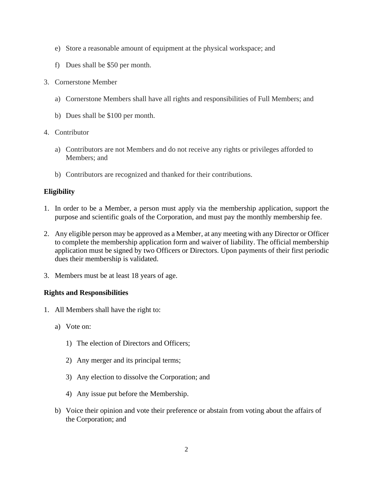- e) Store a reasonable amount of equipment at the physical workspace; and
- f) Dues shall be \$50 per month.
- 3. Cornerstone Member
	- a) Cornerstone Members shall have all rights and responsibilities of Full Members; and
	- b) Dues shall be \$100 per month.
- 4. Contributor
	- a) Contributors are not Members and do not receive any rights or privileges afforded to Members; and
	- b) Contributors are recognized and thanked for their contributions.

# **Eligibility**

- 1. In order to be a Member, a person must apply via the membership application, support the purpose and scientific goals of the Corporation, and must pay the monthly membership fee.
- 2. Any eligible person may be approved as a Member, at any meeting with any Director or Officer to complete the membership application form and waiver of liability. The official membership application must be signed by two Officers or Directors. Upon payments of their first periodic dues their membership is validated.
- 3. Members must be at least 18 years of age.

### **Rights and Responsibilities**

- 1. All Members shall have the right to:
	- a) Vote on:
		- 1) The election of Directors and Officers;
		- 2) Any merger and its principal terms;
		- 3) Any election to dissolve the Corporation; and
		- 4) Any issue put before the Membership.
	- b) Voice their opinion and vote their preference or abstain from voting about the affairs of the Corporation; and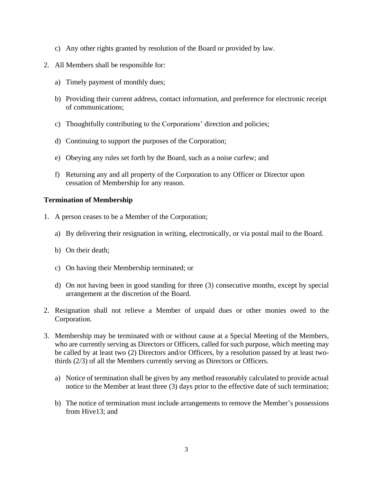- c) Any other rights granted by resolution of the Board or provided by law.
- 2. All Members shall be responsible for:
	- a) Timely payment of monthly dues;
	- b) Providing their current address, contact information, and preference for electronic receipt of communications;
	- c) Thoughtfully contributing to the Corporations' direction and policies;
	- d) Continuing to support the purposes of the Corporation;
	- e) Obeying any rules set forth by the Board, such as a noise curfew; and
	- f) Returning any and all property of the Corporation to any Officer or Director upon cessation of Membership for any reason.

# **Termination of Membership**

- 1. A person ceases to be a Member of the Corporation;
	- a) By delivering their resignation in writing, electronically, or via postal mail to the Board.
	- b) On their death;
	- c) On having their Membership terminated; or
	- d) On not having been in good standing for three (3) consecutive months, except by special arrangement at the discretion of the Board.
- 2. Resignation shall not relieve a Member of unpaid dues or other monies owed to the Corporation.
- 3. Membership may be terminated with or without cause at a Special Meeting of the Members, who are currently serving as Directors or Officers, called for such purpose, which meeting may be called by at least two (2) Directors and/or Officers, by a resolution passed by at least twothirds (2/3) of all the Members currently serving as Directors or Officers.
	- a) Notice of termination shall be given by any method reasonably calculated to provide actual notice to the Member at least three (3) days prior to the effective date of such termination;
	- b) The notice of termination must include arrangements to remove the Member's possessions from Hive13; and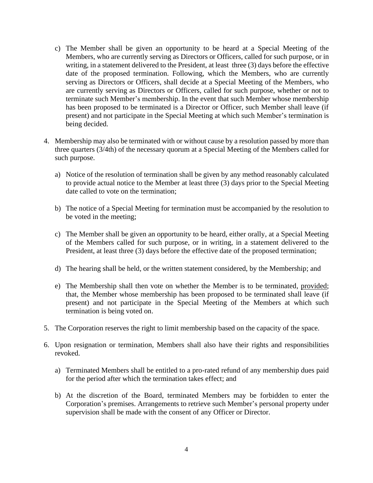- c) The Member shall be given an opportunity to be heard at a Special Meeting of the Members, who are currently serving as Directors or Officers, called for such purpose, or in writing, in a statement delivered to the President, at least three (3) days before the effective date of the proposed termination. Following, which the Members, who are currently serving as Directors or Officers, shall decide at a Special Meeting of the Members, who are currently serving as Directors or Officers, called for such purpose, whether or not to terminate such Member's membership. In the event that such Member whose membership has been proposed to be terminated is a Director or Officer, such Member shall leave (if present) and not participate in the Special Meeting at which such Member's termination is being decided.
- 4. Membership may also be terminated with or without cause by a resolution passed by more than three quarters (3/4th) of the necessary quorum at a Special Meeting of the Members called for such purpose.
	- a) Notice of the resolution of termination shall be given by any method reasonably calculated to provide actual notice to the Member at least three (3) days prior to the Special Meeting date called to vote on the termination;
	- b) The notice of a Special Meeting for termination must be accompanied by the resolution to be voted in the meeting;
	- c) The Member shall be given an opportunity to be heard, either orally, at a Special Meeting of the Members called for such purpose, or in writing, in a statement delivered to the President, at least three (3) days before the effective date of the proposed termination;
	- d) The hearing shall be held, or the written statement considered, by the Membership; and
	- e) The Membership shall then vote on whether the Member is to be terminated, provided; that, the Member whose membership has been proposed to be terminated shall leave (if present) and not participate in the Special Meeting of the Members at which such termination is being voted on.
- 5. The Corporation reserves the right to limit membership based on the capacity of the space.
- 6. Upon resignation or termination, Members shall also have their rights and responsibilities revoked.
	- a) Terminated Members shall be entitled to a pro-rated refund of any membership dues paid for the period after which the termination takes effect; and
	- b) At the discretion of the Board, terminated Members may be forbidden to enter the Corporation's premises. Arrangements to retrieve such Member's personal property under supervision shall be made with the consent of any Officer or Director.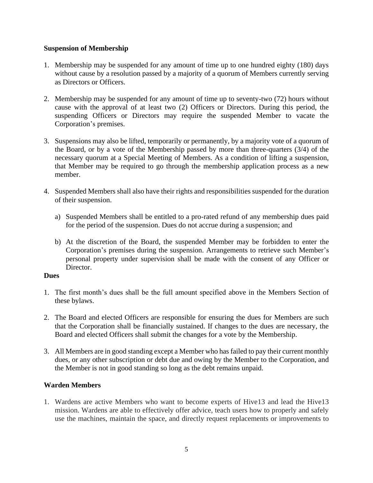# **Suspension of Membership**

- 1. Membership may be suspended for any amount of time up to one hundred eighty (180) days without cause by a resolution passed by a majority of a quorum of Members currently serving as Directors or Officers.
- 2. Membership may be suspended for any amount of time up to seventy-two (72) hours without cause with the approval of at least two (2) Officers or Directors. During this period, the suspending Officers or Directors may require the suspended Member to vacate the Corporation's premises.
- 3. Suspensions may also be lifted, temporarily or permanently, by a majority vote of a quorum of the Board, or by a vote of the Membership passed by more than three-quarters (3/4) of the necessary quorum at a Special Meeting of Members. As a condition of lifting a suspension, that Member may be required to go through the membership application process as a new member.
- 4. Suspended Members shall also have their rights and responsibilities suspended for the duration of their suspension.
	- a) Suspended Members shall be entitled to a pro-rated refund of any membership dues paid for the period of the suspension. Dues do not accrue during a suspension; and
	- b) At the discretion of the Board, the suspended Member may be forbidden to enter the Corporation's premises during the suspension. Arrangements to retrieve such Member's personal property under supervision shall be made with the consent of any Officer or Director.

### **Dues**

- 1. The first month's dues shall be the full amount specified above in the Members Section of these bylaws.
- 2. The Board and elected Officers are responsible for ensuring the dues for Members are such that the Corporation shall be financially sustained. If changes to the dues are necessary, the Board and elected Officers shall submit the changes for a vote by the Membership.
- 3. All Members are in good standing except a Member who has failed to pay their current monthly dues, or any other subscription or debt due and owing by the Member to the Corporation, and the Member is not in good standing so long as the debt remains unpaid.

# **Warden Members**

1. Wardens are active Members who want to become experts of Hive13 and lead the Hive13 mission. Wardens are able to effectively offer advice, teach users how to properly and safely use the machines, maintain the space, and directly request replacements or improvements to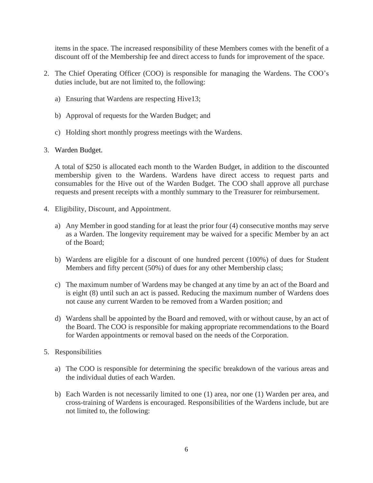items in the space. The increased responsibility of these Members comes with the benefit of a discount off of the Membership fee and direct access to funds for improvement of the space.

- 2. The Chief Operating Officer (COO) is responsible for managing the Wardens. The COO's duties include, but are not limited to, the following:
	- a) Ensuring that Wardens are respecting Hive13;
	- b) Approval of requests for the Warden Budget; and
	- c) Holding short monthly progress meetings with the Wardens.

### 3. Warden Budget.

A total of \$250 is allocated each month to the Warden Budget, in addition to the discounted membership given to the Wardens. Wardens have direct access to request parts and consumables for the Hive out of the Warden Budget. The COO shall approve all purchase requests and present receipts with a monthly summary to the Treasurer for reimbursement.

- 4. Eligibility, Discount, and Appointment.
	- a) Any Member in good standing for at least the prior four (4) consecutive months may serve as a Warden. The longevity requirement may be waived for a specific Member by an act of the Board;
	- b) Wardens are eligible for a discount of one hundred percent (100%) of dues for Student Members and fifty percent (50%) of dues for any other Membership class;
	- c) The maximum number of Wardens may be changed at any time by an act of the Board and is eight (8) until such an act is passed. Reducing the maximum number of Wardens does not cause any current Warden to be removed from a Warden position; and
	- d) Wardens shall be appointed by the Board and removed, with or without cause, by an act of the Board. The COO is responsible for making appropriate recommendations to the Board for Warden appointments or removal based on the needs of the Corporation.
- 5. Responsibilities
	- a) The COO is responsible for determining the specific breakdown of the various areas and the individual duties of each Warden.
	- b) Each Warden is not necessarily limited to one (1) area, nor one (1) Warden per area, and cross-training of Wardens is encouraged. Responsibilities of the Wardens include, but are not limited to, the following: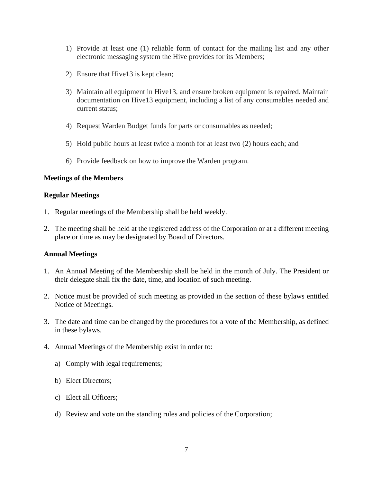- 1) Provide at least one (1) reliable form of contact for the mailing list and any other electronic messaging system the Hive provides for its Members;
- 2) Ensure that Hive13 is kept clean;
- 3) Maintain all equipment in Hive13, and ensure broken equipment is repaired. Maintain documentation on Hive13 equipment, including a list of any consumables needed and current status;
- 4) Request Warden Budget funds for parts or consumables as needed;
- 5) Hold public hours at least twice a month for at least two (2) hours each; and
- 6) Provide feedback on how to improve the Warden program.

#### **Meetings of the Members**

#### **Regular Meetings**

- 1. Regular meetings of the Membership shall be held weekly.
- 2. The meeting shall be held at the registered address of the Corporation or at a different meeting place or time as may be designated by Board of Directors.

#### **Annual Meetings**

- 1. An Annual Meeting of the Membership shall be held in the month of July. The President or their delegate shall fix the date, time, and location of such meeting.
- 2. Notice must be provided of such meeting as provided in the section of these bylaws entitled Notice of Meetings.
- 3. The date and time can be changed by the procedures for a vote of the Membership, as defined in these bylaws.
- 4. Annual Meetings of the Membership exist in order to:
	- a) Comply with legal requirements;
	- b) Elect Directors;
	- c) Elect all Officers;
	- d) Review and vote on the standing rules and policies of the Corporation;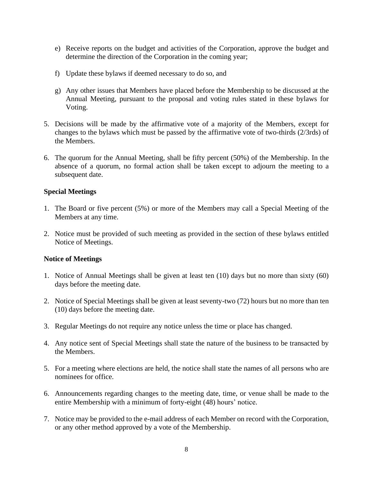- e) Receive reports on the budget and activities of the Corporation, approve the budget and determine the direction of the Corporation in the coming year;
- f) Update these bylaws if deemed necessary to do so, and
- g) Any other issues that Members have placed before the Membership to be discussed at the Annual Meeting, pursuant to the proposal and voting rules stated in these bylaws for Voting.
- 5. Decisions will be made by the affirmative vote of a majority of the Members, except for changes to the bylaws which must be passed by the affirmative vote of two-thirds (2/3rds) of the Members.
- 6. The quorum for the Annual Meeting, shall be fifty percent (50%) of the Membership. In the absence of a quorum, no formal action shall be taken except to adjourn the meeting to a subsequent date.

# **Special Meetings**

- 1. The Board or five percent (5%) or more of the Members may call a Special Meeting of the Members at any time.
- 2. Notice must be provided of such meeting as provided in the section of these bylaws entitled Notice of Meetings.

### **Notice of Meetings**

- 1. Notice of Annual Meetings shall be given at least ten (10) days but no more than sixty (60) days before the meeting date.
- 2. Notice of Special Meetings shall be given at least seventy-two (72) hours but no more than ten (10) days before the meeting date.
- 3. Regular Meetings do not require any notice unless the time or place has changed.
- 4. Any notice sent of Special Meetings shall state the nature of the business to be transacted by the Members.
- 5. For a meeting where elections are held, the notice shall state the names of all persons who are nominees for office.
- 6. Announcements regarding changes to the meeting date, time, or venue shall be made to the entire Membership with a minimum of forty-eight (48) hours' notice.
- 7. Notice may be provided to the e-mail address of each Member on record with the Corporation, or any other method approved by a vote of the Membership.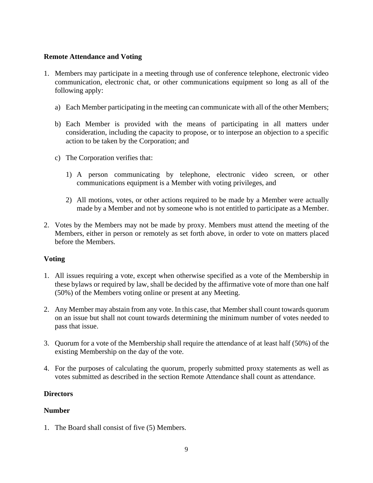# **Remote Attendance and Voting**

- 1. Members may participate in a meeting through use of conference telephone, electronic video communication, electronic chat, or other communications equipment so long as all of the following apply:
	- a) Each Member participating in the meeting can communicate with all of the other Members;
	- b) Each Member is provided with the means of participating in all matters under consideration, including the capacity to propose, or to interpose an objection to a specific action to be taken by the Corporation; and
	- c) The Corporation verifies that:
		- 1) A person communicating by telephone, electronic video screen, or other communications equipment is a Member with voting privileges, and
		- 2) All motions, votes, or other actions required to be made by a Member were actually made by a Member and not by someone who is not entitled to participate as a Member.
- 2. Votes by the Members may not be made by proxy. Members must attend the meeting of the Members, either in person or remotely as set forth above, in order to vote on matters placed before the Members.

### **Voting**

- 1. All issues requiring a vote, except when otherwise specified as a vote of the Membership in these bylaws or required by law, shall be decided by the affirmative vote of more than one half (50%) of the Members voting online or present at any Meeting.
- 2. Any Member may abstain from any vote. In this case, that Member shall count towards quorum on an issue but shall not count towards determining the minimum number of votes needed to pass that issue.
- 3. Quorum for a vote of the Membership shall require the attendance of at least half (50%) of the existing Membership on the day of the vote.
- 4. For the purposes of calculating the quorum, properly submitted proxy statements as well as votes submitted as described in the section Remote Attendance shall count as attendance.

# **Directors**

# **Number**

1. The Board shall consist of five (5) Members.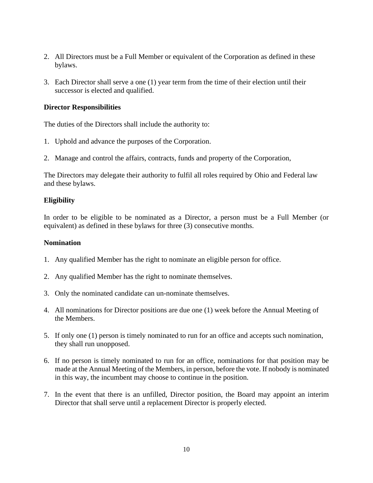- 2. All Directors must be a Full Member or equivalent of the Corporation as defined in these bylaws.
- 3. Each Director shall serve a one (1) year term from the time of their election until their successor is elected and qualified.

### **Director Responsibilities**

The duties of the Directors shall include the authority to:

- 1. Uphold and advance the purposes of the Corporation.
- 2. Manage and control the affairs, contracts, funds and property of the Corporation,

The Directors may delegate their authority to fulfil all roles required by Ohio and Federal law and these bylaws.

# **Eligibility**

In order to be eligible to be nominated as a Director, a person must be a Full Member (or equivalent) as defined in these bylaws for three (3) consecutive months.

### **Nomination**

- 1. Any qualified Member has the right to nominate an eligible person for office.
- 2. Any qualified Member has the right to nominate themselves.
- 3. Only the nominated candidate can un-nominate themselves.
- 4. All nominations for Director positions are due one (1) week before the Annual Meeting of the Members.
- 5. If only one (1) person is timely nominated to run for an office and accepts such nomination, they shall run unopposed.
- 6. If no person is timely nominated to run for an office, nominations for that position may be made at the Annual Meeting of the Members, in person, before the vote. If nobody is nominated in this way, the incumbent may choose to continue in the position.
- 7. In the event that there is an unfilled, Director position, the Board may appoint an interim Director that shall serve until a replacement Director is properly elected.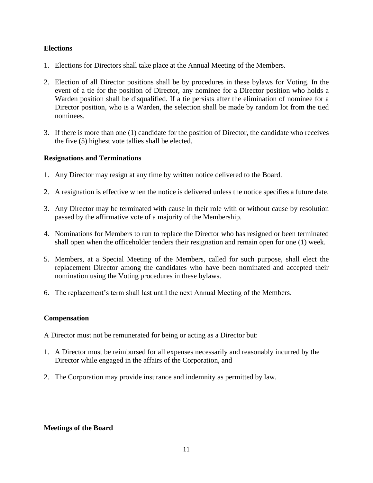# **Elections**

- 1. Elections for Directors shall take place at the Annual Meeting of the Members.
- 2. Election of all Director positions shall be by procedures in these bylaws for Voting. In the event of a tie for the position of Director, any nominee for a Director position who holds a Warden position shall be disqualified. If a tie persists after the elimination of nominee for a Director position, who is a Warden, the selection shall be made by random lot from the tied nominees.
- 3. If there is more than one (1) candidate for the position of Director, the candidate who receives the five (5) highest vote tallies shall be elected.

# **Resignations and Terminations**

- 1. Any Director may resign at any time by written notice delivered to the Board.
- 2. A resignation is effective when the notice is delivered unless the notice specifies a future date.
- 3. Any Director may be terminated with cause in their role with or without cause by resolution passed by the affirmative vote of a majority of the Membership.
- 4. Nominations for Members to run to replace the Director who has resigned or been terminated shall open when the officeholder tenders their resignation and remain open for one (1) week.
- 5. Members, at a Special Meeting of the Members, called for such purpose, shall elect the replacement Director among the candidates who have been nominated and accepted their nomination using the Voting procedures in these bylaws.
- 6. The replacement's term shall last until the next Annual Meeting of the Members.

### **Compensation**

A Director must not be remunerated for being or acting as a Director but:

- 1. A Director must be reimbursed for all expenses necessarily and reasonably incurred by the Director while engaged in the affairs of the Corporation, and
- 2. The Corporation may provide insurance and indemnity as permitted by law.

### **Meetings of the Board**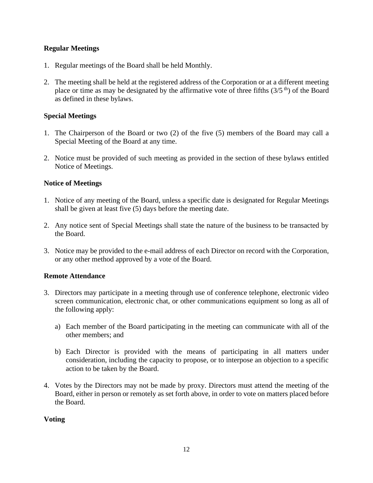# **Regular Meetings**

- 1. Regular meetings of the Board shall be held Monthly.
- 2. The meeting shall be held at the registered address of the Corporation or at a different meeting place or time as may be designated by the affirmative vote of three fifths  $(3/5<sup>th</sup>)$  of the Board as defined in these bylaws.

### **Special Meetings**

- 1. The Chairperson of the Board or two (2) of the five (5) members of the Board may call a Special Meeting of the Board at any time.
- 2. Notice must be provided of such meeting as provided in the section of these bylaws entitled Notice of Meetings.

### **Notice of Meetings**

- 1. Notice of any meeting of the Board, unless a specific date is designated for Regular Meetings shall be given at least five (5) days before the meeting date.
- 2. Any notice sent of Special Meetings shall state the nature of the business to be transacted by the Board.
- 3. Notice may be provided to the e-mail address of each Director on record with the Corporation, or any other method approved by a vote of the Board.

### **Remote Attendance**

- 3. Directors may participate in a meeting through use of conference telephone, electronic video screen communication, electronic chat, or other communications equipment so long as all of the following apply:
	- a) Each member of the Board participating in the meeting can communicate with all of the other members; and
	- b) Each Director is provided with the means of participating in all matters under consideration, including the capacity to propose, or to interpose an objection to a specific action to be taken by the Board.
- 4. Votes by the Directors may not be made by proxy. Directors must attend the meeting of the Board, either in person or remotely as set forth above, in order to vote on matters placed before the Board.

### **Voting**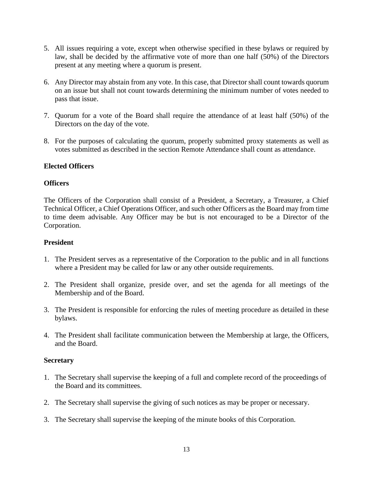- 5. All issues requiring a vote, except when otherwise specified in these bylaws or required by law, shall be decided by the affirmative vote of more than one half (50%) of the Directors present at any meeting where a quorum is present.
- 6. Any Director may abstain from any vote. In this case, that Director shall count towards quorum on an issue but shall not count towards determining the minimum number of votes needed to pass that issue.
- 7. Quorum for a vote of the Board shall require the attendance of at least half (50%) of the Directors on the day of the vote.
- 8. For the purposes of calculating the quorum, properly submitted proxy statements as well as votes submitted as described in the section Remote Attendance shall count as attendance.

# **Elected Officers**

### **Officers**

The Officers of the Corporation shall consist of a President, a Secretary, a Treasurer, a Chief Technical Officer, a Chief Operations Officer, and such other Officers as the Board may from time to time deem advisable. Any Officer may be but is not encouraged to be a Director of the Corporation.

### **President**

- 1. The President serves as a representative of the Corporation to the public and in all functions where a President may be called for law or any other outside requirements.
- 2. The President shall organize, preside over, and set the agenda for all meetings of the Membership and of the Board.
- 3. The President is responsible for enforcing the rules of meeting procedure as detailed in these bylaws.
- 4. The President shall facilitate communication between the Membership at large, the Officers, and the Board.

### **Secretary**

- 1. The Secretary shall supervise the keeping of a full and complete record of the proceedings of the Board and its committees.
- 2. The Secretary shall supervise the giving of such notices as may be proper or necessary.
- 3. The Secretary shall supervise the keeping of the minute books of this Corporation.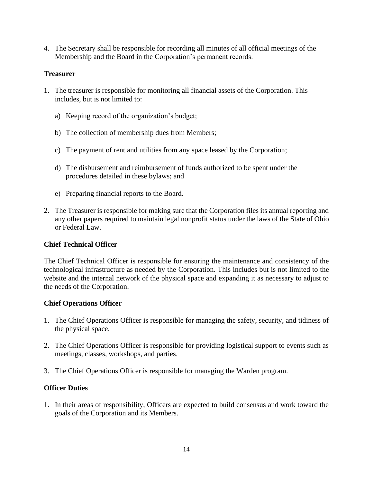4. The Secretary shall be responsible for recording all minutes of all official meetings of the Membership and the Board in the Corporation's permanent records.

# **Treasurer**

- 1. The treasurer is responsible for monitoring all financial assets of the Corporation. This includes, but is not limited to:
	- a) Keeping record of the organization's budget;
	- b) The collection of membership dues from Members;
	- c) The payment of rent and utilities from any space leased by the Corporation;
	- d) The disbursement and reimbursement of funds authorized to be spent under the procedures detailed in these bylaws; and
	- e) Preparing financial reports to the Board.
- 2. The Treasurer is responsible for making sure that the Corporation files its annual reporting and any other papers required to maintain legal nonprofit status under the laws of the State of Ohio or Federal Law.

### **Chief Technical Officer**

The Chief Technical Officer is responsible for ensuring the maintenance and consistency of the technological infrastructure as needed by the Corporation. This includes but is not limited to the website and the internal network of the physical space and expanding it as necessary to adjust to the needs of the Corporation.

### **Chief Operations Officer**

- 1. The Chief Operations Officer is responsible for managing the safety, security, and tidiness of the physical space.
- 2. The Chief Operations Officer is responsible for providing logistical support to events such as meetings, classes, workshops, and parties.
- 3. The Chief Operations Officer is responsible for managing the Warden program.

### **Officer Duties**

1. In their areas of responsibility, Officers are expected to build consensus and work toward the goals of the Corporation and its Members.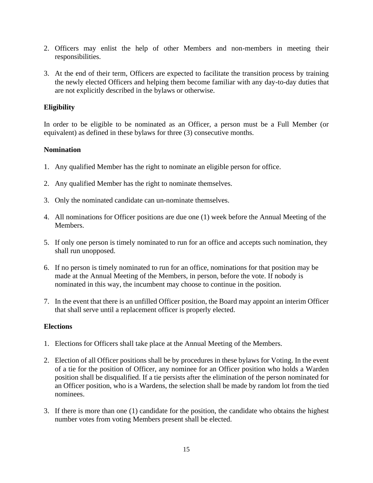- 2. Officers may enlist the help of other Members and non-members in meeting their responsibilities.
- 3. At the end of their term, Officers are expected to facilitate the transition process by training the newly elected Officers and helping them become familiar with any day-to-day duties that are not explicitly described in the bylaws or otherwise.

# **Eligibility**

In order to be eligible to be nominated as an Officer, a person must be a Full Member (or equivalent) as defined in these bylaws for three (3) consecutive months.

# **Nomination**

- 1. Any qualified Member has the right to nominate an eligible person for office.
- 2. Any qualified Member has the right to nominate themselves.
- 3. Only the nominated candidate can un-nominate themselves.
- 4. All nominations for Officer positions are due one (1) week before the Annual Meeting of the Members.
- 5. If only one person is timely nominated to run for an office and accepts such nomination, they shall run unopposed.
- 6. If no person is timely nominated to run for an office, nominations for that position may be made at the Annual Meeting of the Members, in person, before the vote. If nobody is nominated in this way, the incumbent may choose to continue in the position.
- 7. In the event that there is an unfilled Officer position, the Board may appoint an interim Officer that shall serve until a replacement officer is properly elected.

### **Elections**

- 1. Elections for Officers shall take place at the Annual Meeting of the Members.
- 2. Election of all Officer positions shall be by procedures in these bylaws for Voting. In the event of a tie for the position of Officer, any nominee for an Officer position who holds a Warden position shall be disqualified. If a tie persists after the elimination of the person nominated for an Officer position, who is a Wardens, the selection shall be made by random lot from the tied nominees.
- 3. If there is more than one (1) candidate for the position, the candidate who obtains the highest number votes from voting Members present shall be elected.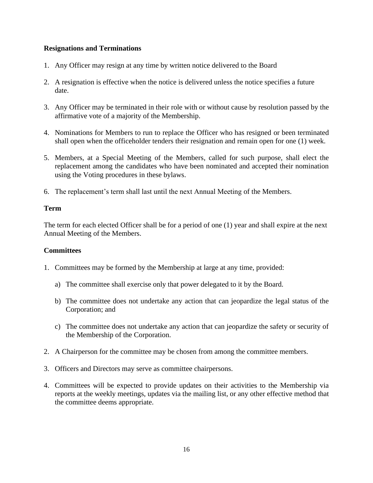# **Resignations and Terminations**

- 1. Any Officer may resign at any time by written notice delivered to the Board
- 2. A resignation is effective when the notice is delivered unless the notice specifies a future date.
- 3. Any Officer may be terminated in their role with or without cause by resolution passed by the affirmative vote of a majority of the Membership.
- 4. Nominations for Members to run to replace the Officer who has resigned or been terminated shall open when the officeholder tenders their resignation and remain open for one (1) week.
- 5. Members, at a Special Meeting of the Members, called for such purpose, shall elect the replacement among the candidates who have been nominated and accepted their nomination using the Voting procedures in these bylaws.
- 6. The replacement's term shall last until the next Annual Meeting of the Members.

### **Term**

The term for each elected Officer shall be for a period of one (1) year and shall expire at the next Annual Meeting of the Members.

### **Committees**

- 1. Committees may be formed by the Membership at large at any time, provided:
	- a) The committee shall exercise only that power delegated to it by the Board.
	- b) The committee does not undertake any action that can jeopardize the legal status of the Corporation; and
	- c) The committee does not undertake any action that can jeopardize the safety or security of the Membership of the Corporation.
- 2. A Chairperson for the committee may be chosen from among the committee members.
- 3. Officers and Directors may serve as committee chairpersons.
- 4. Committees will be expected to provide updates on their activities to the Membership via reports at the weekly meetings, updates via the mailing list, or any other effective method that the committee deems appropriate.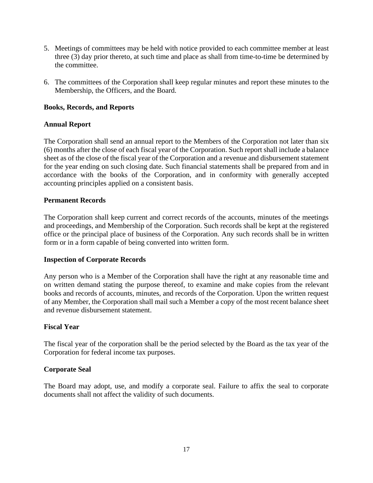- 5. Meetings of committees may be held with notice provided to each committee member at least three (3) day prior thereto, at such time and place as shall from time-to-time be determined by the committee.
- 6. The committees of the Corporation shall keep regular minutes and report these minutes to the Membership, the Officers, and the Board.

# **Books, Records, and Reports**

### **Annual Report**

The Corporation shall send an annual report to the Members of the Corporation not later than six (6) months after the close of each fiscal year of the Corporation. Such report shall include a balance sheet as of the close of the fiscal year of the Corporation and a revenue and disbursement statement for the year ending on such closing date. Such financial statements shall be prepared from and in accordance with the books of the Corporation, and in conformity with generally accepted accounting principles applied on a consistent basis.

### **Permanent Records**

The Corporation shall keep current and correct records of the accounts, minutes of the meetings and proceedings, and Membership of the Corporation. Such records shall be kept at the registered office or the principal place of business of the Corporation. Any such records shall be in written form or in a form capable of being converted into written form.

### **Inspection of Corporate Records**

Any person who is a Member of the Corporation shall have the right at any reasonable time and on written demand stating the purpose thereof, to examine and make copies from the relevant books and records of accounts, minutes, and records of the Corporation. Upon the written request of any Member, the Corporation shall mail such a Member a copy of the most recent balance sheet and revenue disbursement statement.

### **Fiscal Year**

The fiscal year of the corporation shall be the period selected by the Board as the tax year of the Corporation for federal income tax purposes.

### **Corporate Seal**

The Board may adopt, use, and modify a corporate seal. Failure to affix the seal to corporate documents shall not affect the validity of such documents.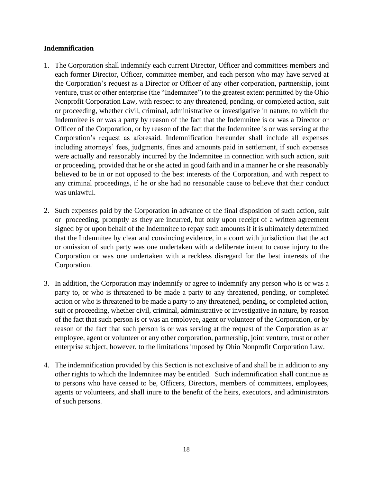# **Indemnification**

- 1. The Corporation shall indemnify each current Director, Officer and committees members and each former Director, Officer, committee member, and each person who may have served at the Corporation's request as a Director or Officer of any other corporation, partnership, joint venture, trust or other enterprise (the "Indemnitee") to the greatest extent permitted by the Ohio Nonprofit Corporation Law, with respect to any threatened, pending, or completed action, suit or proceeding, whether civil, criminal, administrative or investigative in nature, to which the Indemnitee is or was a party by reason of the fact that the Indemnitee is or was a Director or Officer of the Corporation, or by reason of the fact that the Indemnitee is or was serving at the Corporation's request as aforesaid. Indemnification hereunder shall include all expenses including attorneys' fees, judgments, fines and amounts paid in settlement, if such expenses were actually and reasonably incurred by the Indemnitee in connection with such action, suit or proceeding, provided that he or she acted in good faith and in a manner he or she reasonably believed to be in or not opposed to the best interests of the Corporation, and with respect to any criminal proceedings, if he or she had no reasonable cause to believe that their conduct was unlawful.
- 2. Such expenses paid by the Corporation in advance of the final disposition of such action, suit or proceeding, promptly as they are incurred, but only upon receipt of a written agreement signed by or upon behalf of the Indemnitee to repay such amounts if it is ultimately determined that the Indemnitee by clear and convincing evidence, in a court with jurisdiction that the act or omission of such party was one undertaken with a deliberate intent to cause injury to the Corporation or was one undertaken with a reckless disregard for the best interests of the Corporation.
- 3. In addition, the Corporation may indemnify or agree to indemnify any person who is or was a party to, or who is threatened to be made a party to any threatened, pending, or completed action or who is threatened to be made a party to any threatened, pending, or completed action, suit or proceeding, whether civil, criminal, administrative or investigative in nature, by reason of the fact that such person is or was an employee, agent or volunteer of the Corporation, or by reason of the fact that such person is or was serving at the request of the Corporation as an employee, agent or volunteer or any other corporation, partnership, joint venture, trust or other enterprise subject, however, to the limitations imposed by Ohio Nonprofit Corporation Law.
- 4. The indemnification provided by this Section is not exclusive of and shall be in addition to any other rights to which the Indemnitee may be entitled. Such indemnification shall continue as to persons who have ceased to be, Officers, Directors, members of committees, employees, agents or volunteers, and shall inure to the benefit of the heirs, executors, and administrators of such persons.